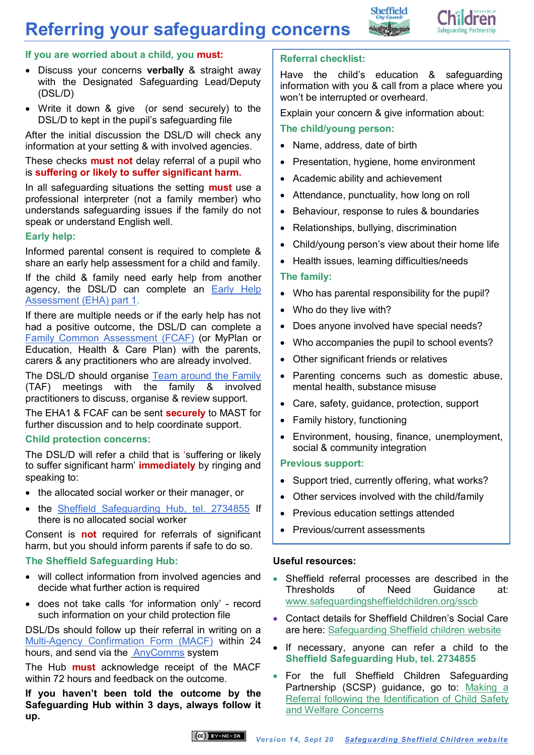## **Referring your safeguarding concerns**





### **If you are worried about a child, you must:**

- Discuss your concerns **verbally** & straight away with the Designated Safeguarding Lead/Deputy (DSL/D)
- Write it down & give (or send securely) to the DSL/D to kept in the pupil's safeguarding file

After the initial discussion the DSL/D will check any information at your setting & with involved agencies.

These checks **must not** delay referral of a pupil who is **suffering or likely to suffer significant harm.**

In all safeguarding situations the setting **must** use a professional interpreter (not a family member) who understands safeguarding issues if the family do not speak or understand English well.

### **Early help:**

Informed parental consent is required to complete & share an early help assessment for a child and family.

If the child & family need early help from another agency, the DSL/D can complete an [Early Help](http://www.sheffielddirectory.org.uk/kb5/sheffield/directory/site.page?id=GUQE-e7pNQM)  [Assessment \(EHA\) part 1.](http://www.sheffielddirectory.org.uk/kb5/sheffield/directory/site.page?id=GUQE-e7pNQM)

If there are multiple needs or if the early help has not had a positive outcome, the DSL/D can complete a [Family Common Assessment \(FCAF\)](http://www.sheffielddirectory.org.uk/kb5/sheffield/directory/site.page?id=2oOKchMeYzA) (or MyPlan or Education, Health & Care Plan) with the parents, carers & any practitioners who are already involved.

The DSL/D should organise [Team around the Family](http://www.sheffielddirectory.org.uk/kb5/sheffield/directory/site.page?id=2oOKchMeYzA) (TAF) meetings with the family & involved practitioners to discuss, organise & review support.

The EHA1 & FCAF can be sent **securely** to MAST for further discussion and to help coordinate support.

#### **Child protection concerns:**

The DSL/D will refer a child that is 'suffering or likely to suffer significant harm' **immediately** by ringing and speaking to:

- the allocated social worker or their manager, or
- the [Sheffield Safeguarding Hub, tel. 2734855](https://www.safeguardingsheffieldchildren.org/sscb/safeguarding-information-and-resources/referring-a-safeguarding-concern-to-childrens-social-care) If there is no allocated social worker

Consent is **not** required for referrals of significant harm, but you should inform parents if safe to do so.

### **The Sheffield Safeguarding Hub:**

- will collect information from involved agencies and decide what further action is required
- does not take calls 'for information only' record such information on your child protection file

DSL/Ds should follow up their referral in writing on a [Multi-Agency Confirmation Form \(MACF\)](http://www.safeguardingsheffieldchildren.org/assets/1/multi-agency_confirmation_form_macf_v_3-2.doc) within 24 hours, and send via the [AnyComms](https://www.safeguardingsheffieldchildren.org/assets/1/anycomms_instructions_v2.docx) system

The Hub **must** acknowledge receipt of the MACF within 72 hours and feedback on the outcome.

**If you haven't been told the outcome by the Safeguarding Hub within 3 days, always follow it up.**

## **Referral checklist:**

Have the child's education & safeguarding information with you & call from a place where you won't be interrupted or overheard.

Explain your concern & give information about:

### **The child/young person:**

- Name, address, date of birth
- Presentation, hygiene, home environment
- Academic ability and achievement
- Attendance, punctuality, how long on roll
- Behaviour, response to rules & boundaries
- Relationships, bullying, discrimination
- Child/young person's view about their home life
- Health issues, learning difficulties/needs

### **The family:**

- Who has parental responsibility for the pupil?
- Who do they live with?
- Does anyone involved have special needs?
- Who accompanies the pupil to school events?
- Other significant friends or relatives
- Parenting concerns such as domestic abuse, mental health, substance misuse
- Care, safety, guidance, protection, support
- Family history, functioning
- Environment, housing, finance, unemployment, social & community integration

### **Previous support:**

- Support tried, currently offering, what works?
- Other services involved with the child/family
- Previous education settings attended
- Previous/current assessments

### **Useful resources:**

- Sheffield referral processes are described in the Thresholds of Need Guidance at: [www.safeguardingsheffieldchildren.org/sscb](http://www.safeguardingsheffieldchildren.org/sscb/safeguarding-information-and-resources/thresholds-of-need-guidance-1)
- Contact details for Sheffield Children's Social Care are here: Safeguarding Sheffield children website
- If necessary, anyone can refer a child to the **Sheffield Safeguarding Hub, tel. 2734855**
- For the full Sheffield Children Safeguarding Partnership (SCSP) guidance, go to: Making a [Referral following the Identification of Child Safety](http://sheffieldscb.proceduresonline.com/chapters/p_making_refer.html)  [and Welfare Concerns](http://sheffieldscb.proceduresonline.com/chapters/p_making_refer.html)